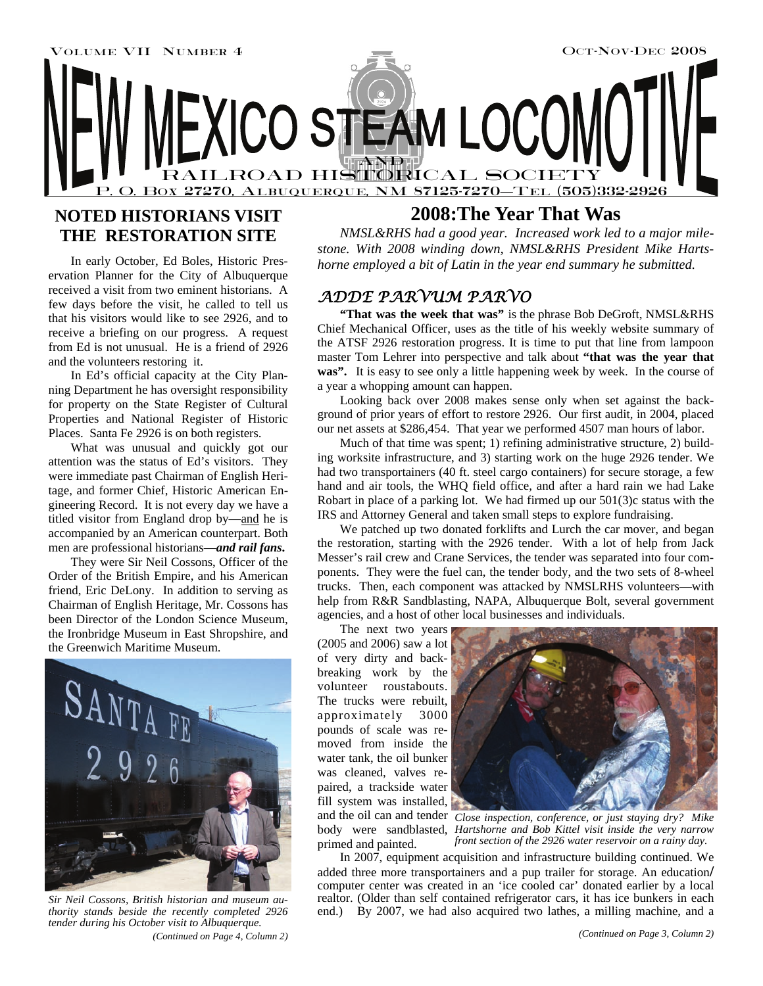

## **NOTED HISTORIANS VISIT THE RESTORATION SITE**

In early October, Ed Boles, Historic Preservation Planner for the City of Albuquerque received a visit from two eminent historians. A few days before the visit, he called to tell us that his visitors would like to see 2926, and to receive a briefing on our progress. A request from Ed is not unusual. He is a friend of 2926 and the volunteers restoring it.

In Ed's official capacity at the City Planning Department he has oversight responsibility for property on the State Register of Cultural Properties and National Register of Historic Places. Santa Fe 2926 is on both registers.

What was unusual and quickly got our attention was the status of Ed's visitors. They were immediate past Chairman of English Heritage, and former Chief, Historic American Engineering Record. It is not every day we have a titled visitor from England drop by—and he is accompanied by an American counterpart. Both men are professional historians—*and rail fans***.** 

They were Sir Neil Cossons, Officer of the Order of the British Empire, and his American friend, Eric DeLony. In addition to serving as Chairman of English Heritage, Mr. Cossons has been Director of the London Science Museum, the Ironbridge Museum in East Shropshire, and the Greenwich Maritime Museum.



*(Continued on Page 4, Column 2) Sir Neil Cossons, British historian and museum authority stands beside the recently completed 2926 tender during his October visit to Albuquerque.* 

## **2008:The Year That Was**

*NMSL&RHS had a good year. Increased work led to a major milestone. With 2008 winding down, NMSL&RHS President Mike Hartshorne employed a bit of Latin in the year end summary he submitted.* 

### *ADDE PARVUM PARVO*

**"That was the week that was"** is the phrase Bob DeGroft, NMSL&RHS Chief Mechanical Officer, uses as the title of his weekly website summary of the ATSF 2926 restoration progress. It is time to put that line from lampoon master Tom Lehrer into perspective and talk about **"that was the year that**  was". It is easy to see only a little happening week by week. In the course of a year a whopping amount can happen.

Looking back over 2008 makes sense only when set against the background of prior years of effort to restore 2926. Our first audit, in 2004, placed our net assets at \$286,454. That year we performed 4507 man hours of labor.

Much of that time was spent; 1) refining administrative structure, 2) building worksite infrastructure, and 3) starting work on the huge 2926 tender. We had two transportainers (40 ft. steel cargo containers) for secure storage, a few hand and air tools, the WHQ field office, and after a hard rain we had Lake Robart in place of a parking lot. We had firmed up our 501(3)c status with the IRS and Attorney General and taken small steps to explore fundraising.

We patched up two donated forklifts and Lurch the car mover, and began the restoration, starting with the 2926 tender. With a lot of help from Jack Messer's rail crew and Crane Services, the tender was separated into four components. They were the fuel can, the tender body, and the two sets of 8-wheel trucks. Then, each component was attacked by NMSLRHS volunteers—with help from R&R Sandblasting, NAPA, Albuquerque Bolt, several government agencies, and a host of other local businesses and individuals.

The next two years (2005 and 2006) saw a lot of very dirty and backbreaking work by the volunteer roustabouts. The trucks were rebuilt, approximately 3000 pounds of scale was removed from inside the water tank, the oil bunker was cleaned, valves repaired, a trackside water fill system was installed, primed and painted.



and the oil can and tender *Close inspection, conference, or just staying dry? Mike*  body were sandblasted, *Hartshorne and Bob Kittel visit inside the very narrow front section of the 2926 water reservoir on a rainy day.* 

In 2007, equipment acquisition and infrastructure building continued. We added three more transportainers and a pup trailer for storage. An education**/** computer center was created in an 'ice cooled car' donated earlier by a local realtor. (Older than self contained refrigerator cars, it has ice bunkers in each end.) By 2007, we had also acquired two lathes, a milling machine, and a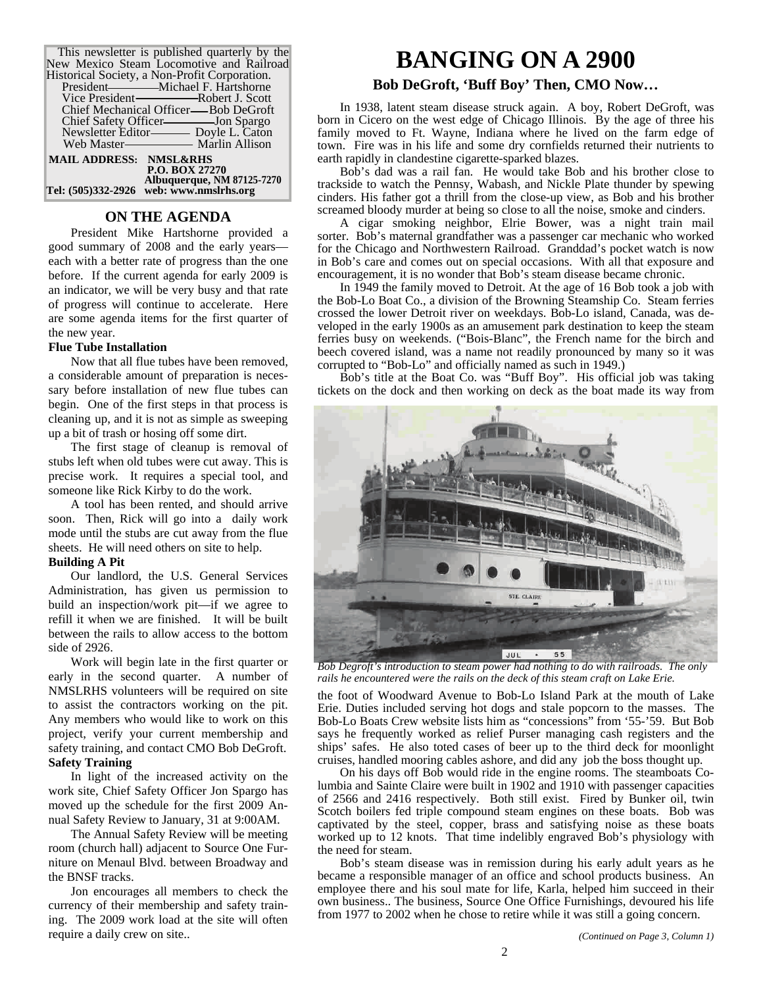| This newsletter is published quarterly by the |
|-----------------------------------------------|
| New Mexico Steam Locomotive and Railroad      |
| Historical Society, a Non-Profit Corporation. |
|                                               |
|                                               |
| Chief Mechanical Officer—Bob DeGroft          |
|                                               |
| Newsletter Editor- Doyle L. Caton             |
|                                               |
| <b>MAIL ADDRESS: NMSL&amp;RHS</b>             |
| <b>P.O. BOX 27270</b>                         |
| Albuquerque, NM 87125-7270                    |
| Tel: (505)332-2926 web: www.nmslrhs.org       |

### **ON THE AGENDA**

President Mike Hartshorne provided a good summary of 2008 and the early years each with a better rate of progress than the one before. If the current agenda for early 2009 is an indicator, we will be very busy and that rate of progress will continue to accelerate. Here are some agenda items for the first quarter of the new year.

#### **Flue Tube Installation**

Now that all flue tubes have been removed, a considerable amount of preparation is necessary before installation of new flue tubes can begin. One of the first steps in that process is cleaning up, and it is not as simple as sweeping up a bit of trash or hosing off some dirt.

The first stage of cleanup is removal of stubs left when old tubes were cut away. This is precise work. It requires a special tool, and someone like Rick Kirby to do the work.

A tool has been rented, and should arrive soon. Then, Rick will go into a daily work mode until the stubs are cut away from the flue sheets. He will need others on site to help.

### **Building A Pit**

Our landlord, the U.S. General Services Administration, has given us permission to build an inspection/work pit—if we agree to refill it when we are finished. It will be built between the rails to allow access to the bottom side of 2926.

Work will begin late in the first quarter or early in the second quarter. A number of NMSLRHS volunteers will be required on site to assist the contractors working on the pit. Any members who would like to work on this project, verify your current membership and safety training, and contact CMO Bob DeGroft. **Safety Training** 

In light of the increased activity on the work site, Chief Safety Officer Jon Spargo has moved up the schedule for the first 2009 Annual Safety Review to January, 31 at 9:00AM.

The Annual Safety Review will be meeting room (church hall) adjacent to Source One Furniture on Menaul Blvd. between Broadway and the BNSF tracks.

Jon encourages all members to check the currency of their membership and safety training. The 2009 work load at the site will often require a daily crew on site..

## **BANGING ON A 2900**

### **Bob DeGroft, 'Buff Boy' Then, CMO Now…**

In 1938, latent steam disease struck again. A boy, Robert DeGroft, was born in Cicero on the west edge of Chicago Illinois. By the age of three his family moved to Ft. Wayne, Indiana where he lived on the farm edge of town. Fire was in his life and some dry cornfields returned their nutrients to earth rapidly in clandestine cigarette-sparked blazes.

Bob's dad was a rail fan. He would take Bob and his brother close to trackside to watch the Pennsy, Wabash, and Nickle Plate thunder by spewing cinders. His father got a thrill from the close-up view, as Bob and his brother screamed bloody murder at being so close to all the noise, smoke and cinders.

A cigar smoking neighbor, Elrie Bower, was a night train mail sorter. Bob's maternal grandfather was a passenger car mechanic who worked for the Chicago and Northwestern Railroad. Granddad's pocket watch is now in Bob's care and comes out on special occasions. With all that exposure and encouragement, it is no wonder that Bob's steam disease became chronic.

In 1949 the family moved to Detroit. At the age of 16 Bob took a job with the Bob-Lo Boat Co., a division of the Browning Steamship Co. Steam ferries crossed the lower Detroit river on weekdays. Bob-Lo island, Canada, was developed in the early 1900s as an amusement park destination to keep the steam ferries busy on weekends. ("Bois-Blanc", the French name for the birch and beech covered island, was a name not readily pronounced by many so it was corrupted to "Bob-Lo" and officially named as such in 1949.)

Bob's title at the Boat Co. was "Buff Boy". His official job was taking tickets on the dock and then working on deck as the boat made its way from



*Bob Degroft's introduction to steam power had nothing to do with railroads. The only*  rails he encountered were the rails on the deck of this steam craft on Lake Erie.

the foot of Woodward Avenue to Bob-Lo Island Park at the mouth of Lake Erie. Duties included serving hot dogs and stale popcorn to the masses. The Bob-Lo Boats Crew website lists him as "concessions" from '55-'59. But Bob says he frequently worked as relief Purser managing cash registers and the ships' safes. He also toted cases of beer up to the third deck for moonlight cruises, handled mooring cables ashore, and did any job the boss thought up.

On his days off Bob would ride in the engine rooms. The steamboats Columbia and Sainte Claire were built in 1902 and 1910 with passenger capacities of 2566 and 2416 respectively. Both still exist. Fired by Bunker oil, twin Scotch boilers fed triple compound steam engines on these boats. Bob was captivated by the steel, copper, brass and satisfying noise as these boats worked up to 12 knots. That time indelibly engraved Bob's physiology with the need for steam.

Bob's steam disease was in remission during his early adult years as he became a responsible manager of an office and school products business. An employee there and his soul mate for life, Karla, helped him succeed in their own business.. The business, Source One Office Furnishings, devoured his life from 1977 to 2002 when he chose to retire while it was still a going concern.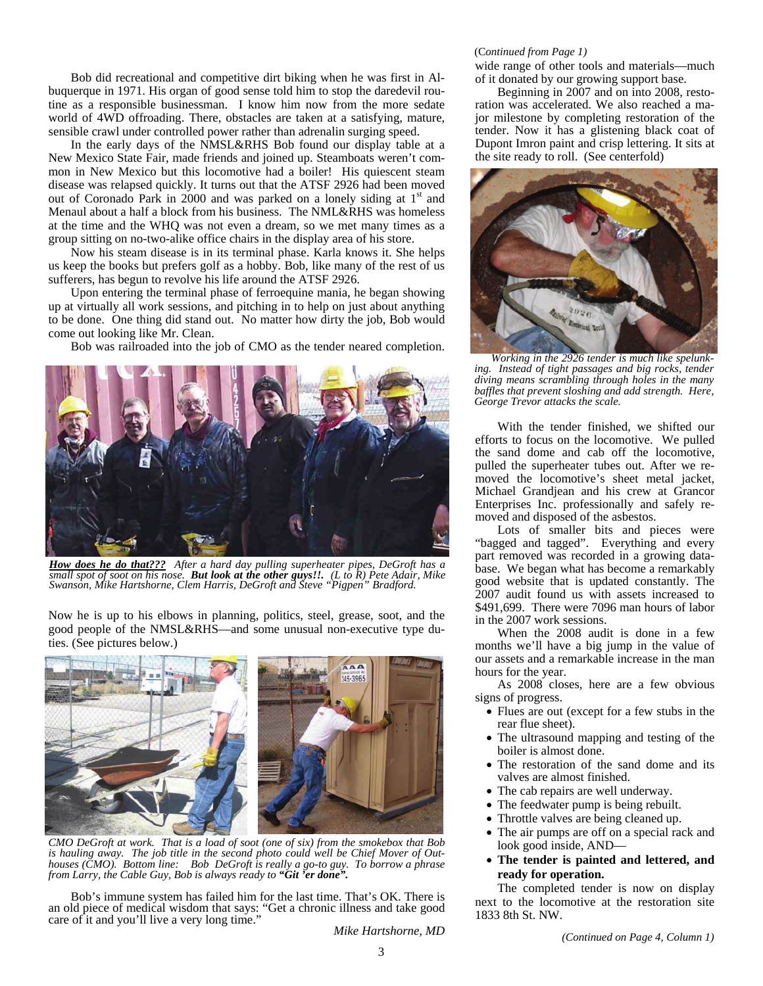Bob did recreational and competitive dirt biking when he was first in Albuquerque in 1971. His organ of good sense told him to stop the daredevil routine as a responsible businessman. I know him now from the more sedate world of 4WD offroading. There, obstacles are taken at a satisfying, mature, sensible crawl under controlled power rather than adrenalin surging speed.

In the early days of the NMSL&RHS Bob found our display table at a New Mexico State Fair, made friends and joined up. Steamboats weren't common in New Mexico but this locomotive had a boiler! His quiescent steam disease was relapsed quickly. It turns out that the ATSF 2926 had been moved out of Coronado Park in 2000 and was parked on a lonely siding at  $1<sup>st</sup>$  and Menaul about a half a block from his business. The NML&RHS was homeless at the time and the WHQ was not even a dream, so we met many times as a group sitting on no-two-alike office chairs in the display area of his store.

Now his steam disease is in its terminal phase. Karla knows it. She helps us keep the books but prefers golf as a hobby. Bob, like many of the rest of us sufferers, has begun to revolve his life around the ATSF 2926.

Upon entering the terminal phase of ferroequine mania, he began showing up at virtually all work sessions, and pitching in to help on just about anything to be done. One thing did stand out. No matter how dirty the job, Bob would come out looking like Mr. Clean.

Bob was railroaded into the job of CMO as the tender neared completion.



*How does he do that??? After a hard day pulling superheater pipes, DeGroft has a small spot of soot on his nose. But look at the other guys!!. (L to R) Pete Adair, Mike Swanson, Mike Hartshorne, Clem Harris, DeGroft and Steve "Pigpen" Bradford.* 

Now he is up to his elbows in planning, politics, steel, grease, soot, and the good people of the NMSL&RHS—and some unusual non-executive type duties. (See pictures below.)



*CMO DeGroft at work. That is a load of soot (one of six) from the smokebox that Bob is hauling away. The job title in the second photo could well be Chief Mover of Outhouses (CMO). Bottom line: Bob DeGroft is really a go-to guy. To borrow a phrase from Larry, the Cable Guy, Bob is always ready to "Git 'er done".* 

Bob's immune system has failed him for the last time. That's OK. There is an old piece of medical wisdom that says: "Get a chronic illness and take good care of it and you'll live a very long time."

### (C*ontinued from Page 1)*

wide range of other tools and materials—much of it donated by our growing support base.

Beginning in 2007 and on into 2008, restoration was accelerated. We also reached a major milestone by completing restoration of the tender. Now it has a glistening black coat of Dupont Imron paint and crisp lettering. It sits at the site ready to roll. (See centerfold)



*Working in the 2926 tender is much like spelunking. Instead of tight passages and big rocks, tender diving means scrambling through holes in the many baffles that prevent sloshing and add strength. Here, George Trevor attacks the scale.* 

With the tender finished, we shifted our efforts to focus on the locomotive. We pulled the sand dome and cab off the locomotive, pulled the superheater tubes out. After we removed the locomotive's sheet metal jacket, Michael Grandjean and his crew at Grancor Enterprises Inc. professionally and safely removed and disposed of the asbestos.

Lots of smaller bits and pieces were "bagged and tagged". Everything and every part removed was recorded in a growing database. We began what has become a remarkably good website that is updated constantly. The 2007 audit found us with assets increased to \$491,699. There were 7096 man hours of labor in the 2007 work sessions.

When the 2008 audit is done in a few months we'll have a big jump in the value of our assets and a remarkable increase in the man hours for the year.

As 2008 closes, here are a few obvious signs of progress.

- Flues are out (except for a few stubs in the rear flue sheet).
- The ultrasound mapping and testing of the boiler is almost done.
- The restoration of the sand dome and its valves are almost finished.
- The cab repairs are well underway.
- The feedwater pump is being rebuilt.
- Throttle valves are being cleaned up.
- The air pumps are off on a special rack and look good inside, AND—
- **The tender is painted and lettered, and ready for operation.**

The completed tender is now on display next to the locomotive at the restoration site 1833 8th St. NW.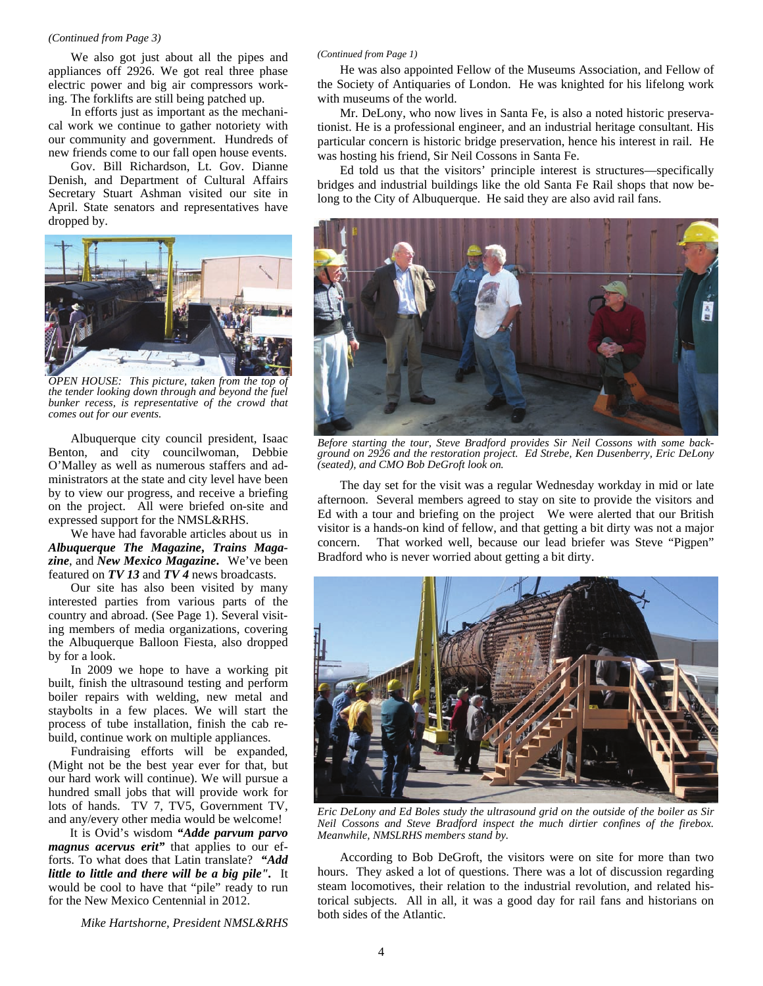#### *(Continued from Page 3)*

We also got just about all the pipes and appliances off 2926. We got real three phase electric power and big air compressors working. The forklifts are still being patched up.

In efforts just as important as the mechanical work we continue to gather notoriety with our community and government. Hundreds of new friends come to our fall open house events.

Gov. Bill Richardson, Lt. Gov. Dianne Denish, and Department of Cultural Affairs Secretary Stuart Ashman visited our site in April. State senators and representatives have dropped by.



*OPEN HOUSE: This picture, taken from the top of the tender looking down through and beyond the fuel bunker recess, is representative of the crowd that comes out for our events.* 

Albuquerque city council president, Isaac Benton, and city councilwoman, Debbie O'Malley as well as numerous staffers and administrators at the state and city level have been by to view our progress, and receive a briefing on the project. All were briefed on-site and expressed support for the NMSL&RHS.

We have had favorable articles about us in *Albuquerque The Magazine***,** *Trains Magazine*, and *New Mexico Magazine***.** We've been featured on *TV 13* and *TV 4* news broadcasts.

Our site has also been visited by many interested parties from various parts of the country and abroad. (See Page 1). Several visiting members of media organizations, covering the Albuquerque Balloon Fiesta, also dropped by for a look.

In 2009 we hope to have a working pit built, finish the ultrasound testing and perform boiler repairs with welding, new metal and staybolts in a few places. We will start the process of tube installation, finish the cab rebuild, continue work on multiple appliances.

Fundraising efforts will be expanded, (Might not be the best year ever for that, but our hard work will continue). We will pursue a hundred small jobs that will provide work for lots of hands. TV 7, TV5, Government TV, and any/every other media would be welcome!

It is Ovid's wisdom *"Adde parvum parvo magnus acervus erit"* that applies to our efforts. To what does that Latin translate? *"Add little to little and there will be a big pile".* It would be cool to have that "pile" ready to run for the New Mexico Centennial in 2012.

*Mike Hartshorne, President NMSL&RHS* 

#### *(Continued from Page 1)*

He was also appointed Fellow of the Museums Association, and Fellow of the Society of Antiquaries of London. He was knighted for his lifelong work with museums of the world.

Mr. DeLony, who now lives in Santa Fe, is also a noted historic preservationist. He is a professional engineer, and an industrial heritage consultant. His particular concern is historic bridge preservation, hence his interest in rail. He was hosting his friend, Sir Neil Cossons in Santa Fe.

Ed told us that the visitors' principle interest is structures—specifically bridges and industrial buildings like the old Santa Fe Rail shops that now belong to the City of Albuquerque. He said they are also avid rail fans.



*Before starting the tour, Steve Bradford provides Sir Neil Cossons with some background on 2926 and the restoration project. Ed Strebe, Ken Dusenberry, Eric DeLony (seated), and CMO Bob DeGroft look on.* 

The day set for the visit was a regular Wednesday workday in mid or late afternoon. Several members agreed to stay on site to provide the visitors and Ed with a tour and briefing on the project We were alerted that our British visitor is a hands-on kind of fellow, and that getting a bit dirty was not a major concern. That worked well, because our lead briefer was Steve "Pigpen" Bradford who is never worried about getting a bit dirty.



*Eric DeLony and Ed Boles study the ultrasound grid on the outside of the boiler as Sir Neil Cossons and Steve Bradford inspect the much dirtier confines of the firebox. Meanwhile, NMSLRHS members stand by.* 

According to Bob DeGroft, the visitors were on site for more than two hours. They asked a lot of questions. There was a lot of discussion regarding steam locomotives, their relation to the industrial revolution, and related historical subjects. All in all, it was a good day for rail fans and historians on both sides of the Atlantic.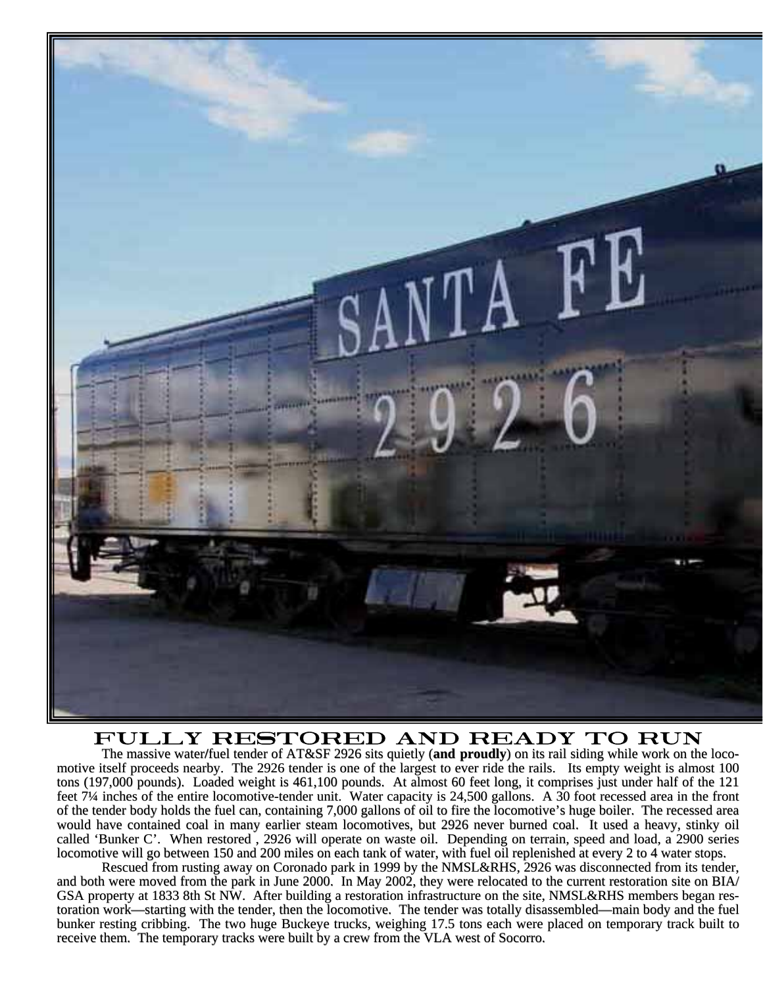

# FULLY RESTORED AND READY TO RUN<br>The massive water/fuel tender of AT&SF 2926 sits quietly (and proudly) on its rail siding while work on the loco-

motive itself proceeds nearby. The 2926 tender is one of the largest to ever ride the rails. Its empty weight is almost 100 tons (197,000 pounds). Loaded weight is 461,100 pounds. At almost 60 feet long, it comprises just under half of the 121 feet 7<sup>1</sup>/4 inches of the entire locomotive-tender unit. Water capacity is 24,500 gallons. A 30 foot recessed area in the front of the tender body holds the fuel can, containing 7,000 gallons of oil to fire the locomotive's huge boiler. The recessed area would have contained coal in many earlier steam locomotives, but 2926 never burned coal. It used a heavy, stinky oil called 'Bunker C'. When restored, 2926 will operate on waste oil. Depending on terrain, speed and load, a 2900 series locomotive will go between 150 and 200 miles on each tank of water, with fuel oil replenished at every 2 to 4 water stops.

Rescued from rusting away on Coronado park in 1999 by the NMSL&RHS, 2926 was disconnected from its tender, and both were moved from the park in June 2000. In May 2002, they were relocated to the current restoration site on BIA/ GSA property at 1833 8th St NW. After building a restoration infrastructure on the site, NMSL&RHS members began restoration work—starting with the tender, then the locomotive. The tender was totally disassembled—main body and the fuel bunker resting cribbing. The two huge Buckeye trucks, weighing 17.5 tons each were placed on temporary track built to receive them. The temporary tracks were built by a crew from the VLA west of Socorro.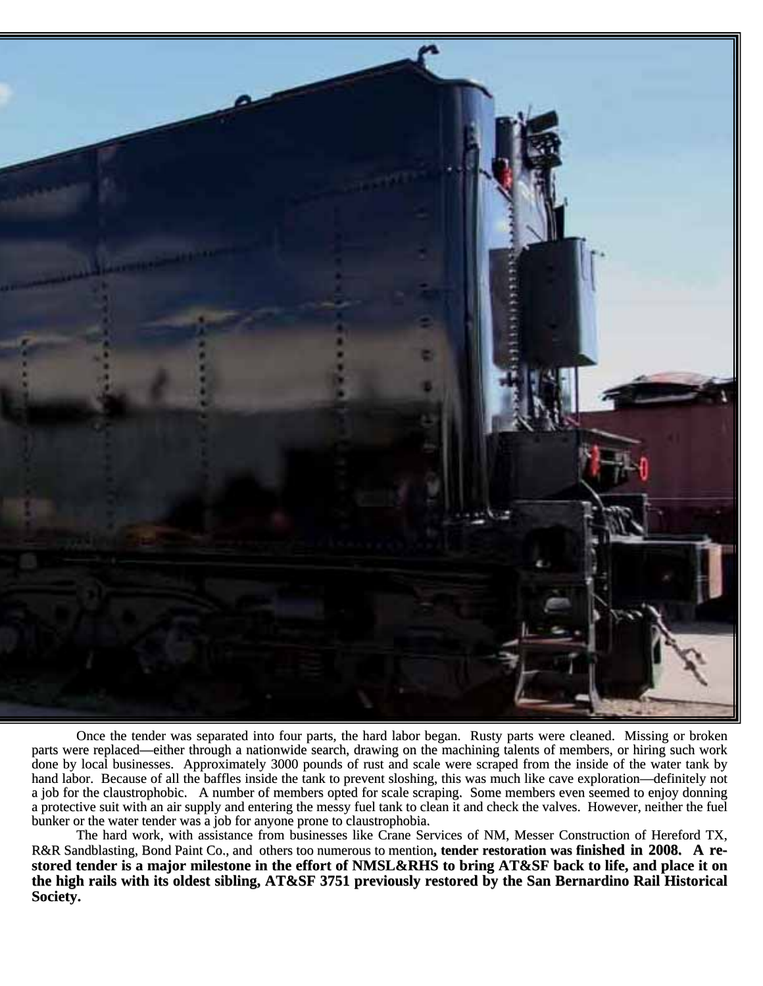

Once the tender was separated into four parts, the hard labor began. Rusty parts were cleaned. Missing or broken parts were replaced—either through a nationwide search, drawing on the machining talents of members, or hiring such work done by local businesses. Approximately 3000 pounds of rust and scale were scraped from the inside of the water tank by hand labor. Because of all the baffles inside the tank to prevent sloshing, this was much like cave exploration—definitely not a job for the claustrophobic. A number of members opted for scale scraping. Some members even seemed to enjoy donning a protective suit with an air supply and entering the messy fuel tank to clean it and check the valves. However, neither the fuel bunker or the water tender was a job for anyone prone to claustrophobia.

The hard work, with assistance from businesses like Crane Services of NM, Messer Construction of Hereford TX, R&R Sandblasting, Bond Paint Co., and others too numerous to mention, tender restoration was finished in 2008. A restored tender is a major milestone in the effort of NMSL&RHS to bring AT&SF back to life, and place it on the high rails with its oldest sibling, AT&SF 3751 previously restored by the San Bernardino Rail Historical **Society. Society.**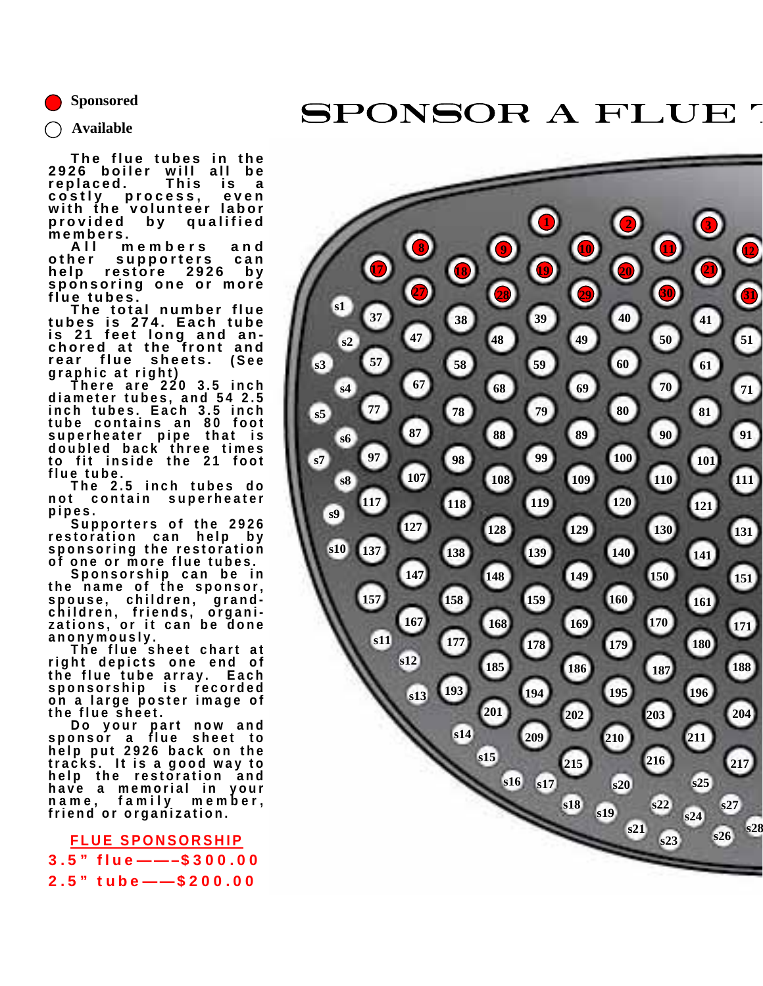**Sponsored** 

# SPONSOR A FLUE

**Available** 

**The flue tubes in the 2926 boiler will all be replaced. This is a**  process, **with the volunteer labor provided by qualified members.** 

**All members and other supporters can**  restore **sponsoring one or more flue tubes.** 

**The total number flue tubes is 274. Each tube is 21 feet long and anchored at the front and rear flue sheets. (See graphic at right) There are 220 3.5 inch** 

**diameter tubes, and 54 2.5 inch tubes. Each 3.5 inch tube contains an 80 foot superheater pipe that is doubled back three times to fit inside the 21 foot flue tube.** 

**The 2.5 inch tubes do not contain superheater** 

**pipes. Supporters of the 2926 restoration can help by sponsoring the restoration of one or more flue tubes.** 

**Sponsorship can be in the name of the sponsor, spouse, children, grandchildren, friends, organizations, or it can be done** 

**anonymously. The flue sheet chart at right depicts one end of the flue tube array. Each sponsorship is recorded on a large poster image of the flue sheet.** 

**Do your part now and sponsor a flue sheet to help put 2926 back on the tracks. It is a good way to help the restoration and have a memorial in your name, family member, friend or organization.** 

**FLUE SPONSORSHIP** 3.5" flue——–\$300.00 2.5" tube——\$200.00